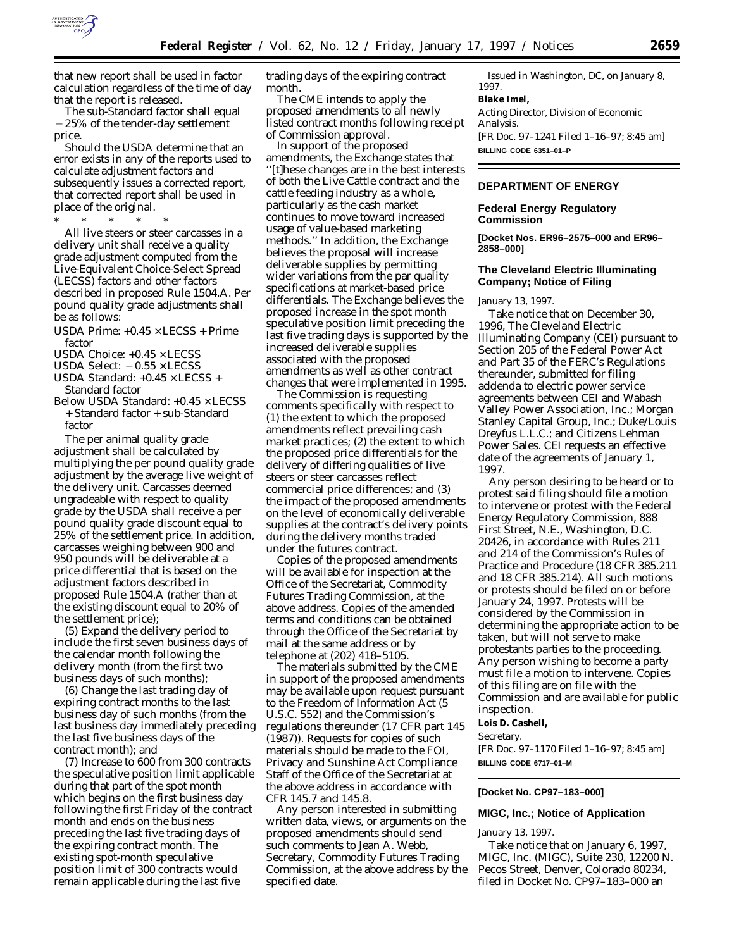

that new report shall be used in factor calculation regardless of the time of day that the report is released.

The sub-Standard factor shall equal  $-25%$  of the tender-day settlement price.

Should the USDA determine that an error exists in any of the reports used to calculate adjustment factors and subsequently issues a corrected report, that corrected report shall be used in place of the original.

\* \* \* \* \* All live steers or steer carcasses in a delivery unit shall receive a quality grade adjustment computed from the Live-Equivalent Choice-Select Spread (LECSS) factors and other factors described in proposed Rule 1504.A. Per pound quality grade adjustments shall be as follows:

- USDA Prime:  $+0.45 \times \text{LECSS} + \text{Prime}$ factor
- USDA Choice: +0.45 × LECSS
- USDA Select:  $-0.55 \times$  LECSS
- USDA Standard: +0.45 × LECSS + Standard factor
- Below USDA Standard: +0.45 × LECSS + Standard factor + sub-Standard factor

The per animal quality grade adjustment shall be calculated by multiplying the per pound quality grade adjustment by the average live weight of the delivery unit. Carcasses deemed ungradeable with respect to quality grade by the USDA shall receive a per pound quality grade discount equal to 25% of the settlement price. In addition, carcasses weighing between 900 and 950 pounds will be deliverable at a price differential that is based on the adjustment factors described in proposed Rule 1504.A (rather than at the existing discount equal to 20% of the settlement price);

(5) Expand the delivery period to include the first seven business days of the calendar month following the delivery month (from the first two business days of such months);

(6) Change the last trading day of expiring contract months to the last business day of such months (from the last business day immediately preceding the last five business days of the contract month); and

(7) Increase to 600 from 300 contracts the speculative position limit applicable during that part of the spot month which begins on the first business day following the first Friday of the contract month and ends on the business preceding the last five trading days of the expiring contract month. The existing spot-month speculative position limit of 300 contracts would remain applicable during the last five

trading days of the expiring contract month.

The CME intends to apply the proposed amendments to all newly listed contract months following receipt of Commission approval.

In support of the proposed amendments, the Exchange states that ''[t]hese changes are in the best interests of both the Live Cattle contract and the cattle feeding industry as a whole, particularly as the cash market continues to move toward increased usage of value-based marketing methods.'' In addition, the Exchange believes the proposal will increase deliverable supplies by permitting wider variations from the par quality specifications at market-based price differentials. The Exchange believes the proposed increase in the spot month speculative position limit preceding the last five trading days is supported by the increased deliverable supplies associated with the proposed amendments as well as other contract changes that were implemented in 1995.

The Commission is requesting comments specifically with respect to (1) the extent to which the proposed amendments reflect prevailing cash market practices; (2) the extent to which the proposed price differentials for the delivery of differing qualities of live steers or steer carcasses reflect commercial price differences; and (3) the impact of the proposed amendments on the level of economically deliverable supplies at the contract's delivery points during the delivery months traded under the futures contract.

Copies of the proposed amendments will be available for inspection at the Office of the Secretariat, Commodity Futures Trading Commission, at the above address. Copies of the amended terms and conditions can be obtained through the Office of the Secretariat by mail at the same address or by telephone at (202) 418–5105.

The materials submitted by the CME in support of the proposed amendments may be available upon request pursuant to the Freedom of Information Act (5 U.S.C. 552) and the Commission's regulations thereunder (17 CFR part 145 (1987)). Requests for copies of such materials should be made to the FOI, Privacy and Sunshine Act Compliance Staff of the Office of the Secretariat at the above address in accordance with CFR 145.7 and 145.8.

Any person interested in submitting written data, views, or arguments on the proposed amendments should send such comments to Jean A. Webb, Secretary, Commodity Futures Trading Commission, at the above address by the specified date.

Issued in Washington, DC, on January 8, 1997. **Blake Imel,** *Acting Director, Division of Economic Analysis.* [FR Doc. 97–1241 Filed 1–16–97; 8:45 am] **BILLING CODE 6351–01–P**

## **DEPARTMENT OF ENERGY**

## **Federal Energy Regulatory Commission**

**[Docket Nos. ER96–2575–000 and ER96– 2858–000]**

## **The Cleveland Electric Illuminating Company; Notice of Filing**

January 13, 1997.

Take notice that on December 30, 1996, The Cleveland Electric Illuminating Company (CEI) pursuant to Section 205 of the Federal Power Act and Part 35 of the FERC's Regulations thereunder, submitted for filing addenda to electric power service agreements between CEI and Wabash Valley Power Association, Inc.; Morgan Stanley Capital Group, Inc.; Duke/Louis Dreyfus L.L.C.; and Citizens Lehman Power Sales. CEI requests an effective date of the agreements of January 1, 1997.

Any person desiring to be heard or to protest said filing should file a motion to intervene or protest with the Federal Energy Regulatory Commission, 888 First Street, N.E., Washington, D.C. 20426, in accordance with Rules 211 and 214 of the Commission's Rules of Practice and Procedure (18 CFR 385.211 and 18 CFR 385.214). All such motions or protests should be filed on or before January 24, 1997. Protests will be considered by the Commission in determining the appropriate action to be taken, but will not serve to make protestants parties to the proceeding. Any person wishing to become a party must file a motion to intervene. Copies of this filing are on file with the Commission and are available for public inspection.

**Lois D. Cashell,**

*Secretary.*

[FR Doc. 97–1170 Filed 1–16–97; 8:45 am] **BILLING CODE 6717–01–M**

#### **[Docket No. CP97–183–000]**

# **MIGC, Inc.; Notice of Application**

January 13, 1997.

Take notice that on January 6, 1997, MIGC, Inc. (MIGC), Suite 230, 12200 N. Pecos Street, Denver, Colorado 80234, filed in Docket No. CP97–183–000 an